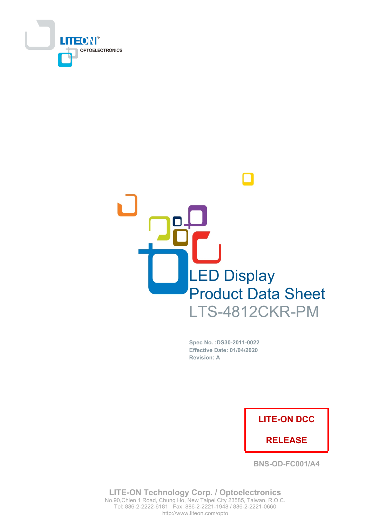



Spec No. : DS30-2011-0022 Effective Date: 01/04/2020 **Revision: A** 

### **LITE-ON DCC**

### **RELEASE**

**BNS-OD-FC001/A4** 

**LITE-ON Technology Corp. / Optoelectronics** No.90, Chien 1 Road, Chung Ho, New Taipei City 23585, Taiwan, R.O.C. Tel: 886-2-2222-6181 Fax: 886-2-2221-1948 / 886-2-2221-0660 http://www.liteon.com/opto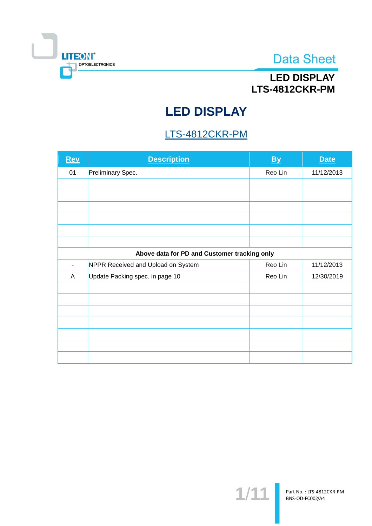

# **LED DISPLAY** LTS-4812CKR-PM

# **LED DISPLAY**

## LTS-4812CKR-PM

| Rev                                          | <b>Description</b>                 | <b>By</b> | <b>Date</b> |  |  |
|----------------------------------------------|------------------------------------|-----------|-------------|--|--|
| 01                                           | Preliminary Spec.                  | Reo Lin   | 11/12/2013  |  |  |
|                                              |                                    |           |             |  |  |
|                                              |                                    |           |             |  |  |
|                                              |                                    |           |             |  |  |
|                                              |                                    |           |             |  |  |
|                                              |                                    |           |             |  |  |
|                                              |                                    |           |             |  |  |
| Above data for PD and Customer tracking only |                                    |           |             |  |  |
| -                                            | NPPR Received and Upload on System | Reo Lin   | 11/12/2013  |  |  |
| A                                            | Update Packing spec. in page 10    | Reo Lin   | 12/30/2019  |  |  |
|                                              |                                    |           |             |  |  |
|                                              |                                    |           |             |  |  |
|                                              |                                    |           |             |  |  |
|                                              |                                    |           |             |  |  |
|                                              |                                    |           |             |  |  |
|                                              |                                    |           |             |  |  |
|                                              |                                    |           |             |  |  |

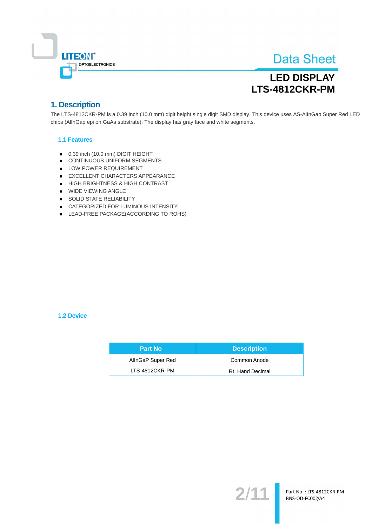

# **LED DISPLAY** LTS-4812CKR-PM

### 1. Description

The LTS-4812CKR-PM is a 0.39 inch (10.0 mm) digit height single digit SMD display. This device uses AS-AllnGap Super Red LED chips (AllnGap epi on GaAs substrate). The display has gray face and white segments.

#### **1.1 Features**

- 0.39 inch (10.0 mm) DIGIT HEIGHT
- CONTINUOUS UNIFORM SEGMENTS
- LOW POWER REQUIREMENT
- EXCELLENT CHARACTERS APPEARANCE
- HIGH BRIGHTNESS & HIGH CONTRAST
- **NIDE VIEWING ANGLE**
- SOLID STATE RELIABILITY
- CATEGORIZED FOR LUMINOUS INTENSITY.
- LEAD-FREE PACKAGE(ACCORDING TO ROHS)

#### **1.2 Device**

| <b>Part No</b>    | <b>Description</b> |
|-------------------|--------------------|
| AllnGaP Super Red | Common Anode       |
| LTS-4812CKR-PM    | Rt. Hand Decimal   |

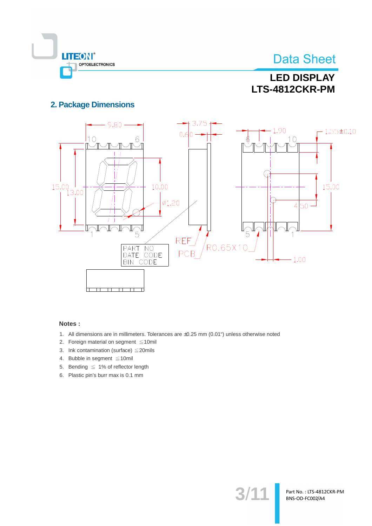

**LED DISPLAY** LTS-4812CKR-PM

### **2. Package Dimensions**



#### Notes:

- 1. All dimensions are in millimeters. Tolerances are ±0.25 mm (0.01") unless otherwise noted
- 2. Foreign material on segment  $\leq 10$ mil
- 3. Ink contamination (surface)  $\leq$  20mils
- 4. Bubble in segment  $\leq 10$ mil
- 5. Bending  $\leq 1\%$  of reflector length
- 6. Plastic pin's burr max is 0.1 mm

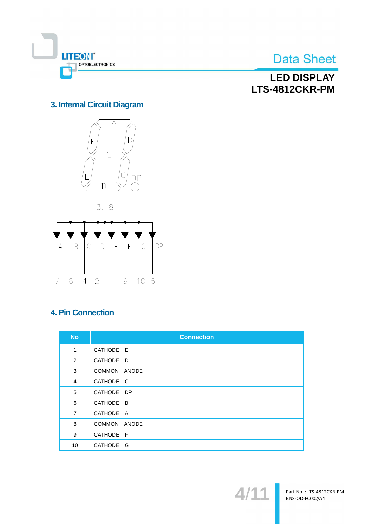

## **LED DISPLAY** LTS-4812CKR-PM

### 3. Internal Circuit Diagram





### **4. Pin Connection**

| <b>No</b>      | <b>Connection</b> |
|----------------|-------------------|
| $\mathbf{1}$   | CATHODE E         |
| $\overline{2}$ | CATHODE D         |
| 3              | COMMON ANODE      |
| 4              | CATHODE C         |
| 5              | CATHODE DP        |
| 6              | CATHODE B         |
| $\overline{7}$ | CATHODE A         |
| 8              | COMMON ANODE      |
| 9              | CATHODE F         |
| 10             | CATHODE G         |

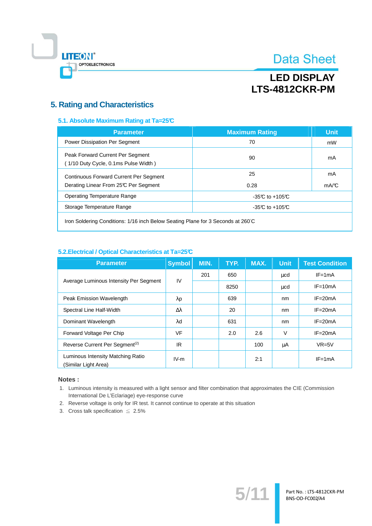

# **LED DISPLAY** LTS-4812CKR-PM

### **5. Rating and Characteristics**

#### 5.1. Absolute Maximum Rating at Ta=25°C

| <b>Parameter</b>                                                         | <b>Maximum Rating</b> | <b>Unit</b> |
|--------------------------------------------------------------------------|-----------------------|-------------|
| Power Dissipation Per Segment                                            | 70                    | mW          |
| Peak Forward Current Per Segment<br>(1/10 Duty Cycle, 0.1ms Pulse Width) | 90                    | mA          |
| Continuous Forward Current Per Segment                                   | 25                    | mA          |
| Derating Linear From 25°C Per Segment                                    | 0.28                  | mA/C        |
| Operating Temperature Range                                              | $-35C$ to $+105C$     |             |
| Storage Temperature Range                                                | $-35C$ to $+105C$     |             |
|                                                                          |                       |             |

Iron Soldering Conditions: 1/16 inch Below Seating Plane for 3 Seconds at 260°C

#### 5.2. Electrical / Optical Characteristics at Ta=25°C

| <b>Parameter</b>                                          | <b>Symbol</b>    | MIN. | TYP. | MAX. | Unit,    | <b>Test Condition</b> |
|-----------------------------------------------------------|------------------|------|------|------|----------|-----------------------|
|                                                           | IV               | 201  | 650  |      | $\mu$ cd | $IF = 1mA$            |
| Average Luminous Intensity Per Segment                    |                  |      | 8250 |      | $\mu$ cd | $IF = 10mA$           |
| Peak Emission Wavelength                                  | $\lambda$ p      |      | 639  |      | nm       | $IF = 20mA$           |
| Spectral Line Half-Width                                  | $\Delta \lambda$ |      | 20   |      | nm       | $IF = 20mA$           |
| Dominant Wavelength                                       | λd               |      | 631  |      | nm       | $IF = 20mA$           |
| Forward Voltage Per Chip                                  | <b>VF</b>        |      | 2.0  | 2.6  | $\vee$   | $IF = 20mA$           |
| Reverse Current Per Segment <sup>(2)</sup>                | IR               |      |      | 100  | μA       | $VR=5V$               |
| Luminous Intensity Matching Ratio<br>(Similar Light Area) | $IV-m$           |      |      | 2:1  |          | $IF = 1mA$            |

#### Notes:

1. Luminous intensity is measured with a light sensor and filter combination that approximates the CIE (Commission International De L'Eclariage) eye-response curve

 $5/1$ 

Part No.: LTS-4812CKR-PM BNS-OD-FC002/A4

- 2. Reverse voltage is only for IR test. It cannot continue to operate at this situation
- 3. Cross talk specification  $\leq 2.5\%$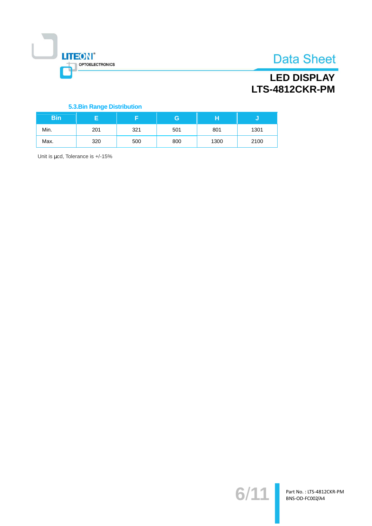

# **LED DISPLAY** LTS-4812CKR-PM

#### **5.3.Bin Range Distribution**

| <b>Bin</b> |     |     | G   | н    |      |
|------------|-----|-----|-----|------|------|
| Min.       | 201 | 321 | 501 | 801  | 1301 |
| Max.       | 320 | 500 | 800 | 1300 | 2100 |

Unit is µcd, Tolerance is +/-15%

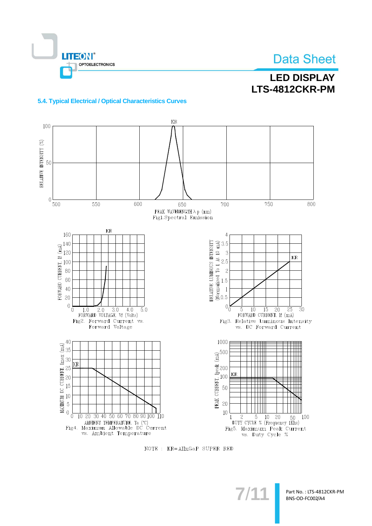

# **LED DISPLAY** LTS-4812CKR-PM

#### 5.4. Typical Electrical / Optical Characteristics Curves



NOTE : KR=AlInGaP SUPER RED

Part No.: LTS-4812CKR-PM BNS-OD-FC002/A4

 $7/1$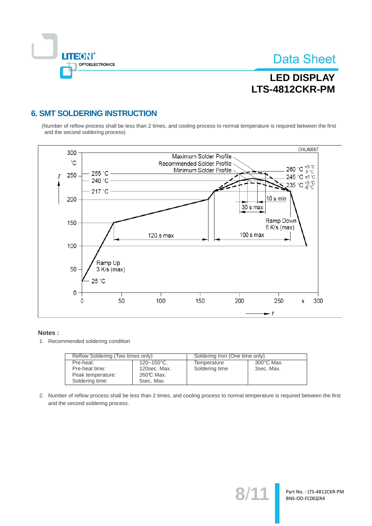

Part No.: LTS-4812CKR-PM BNS-OD-FC002/A4

# **LED DISPLAY** LTS-4812CKR-PM

### **6. SMT SOLDERING INSTRUCTION**

(Number of reflow process shall be less than 2 times, and cooling process to normal temperature is required between the first and the second soldering process)



#### Notes:

1. Recommended soldering condition

| Reflow Soldering (Two times only) |                        | Soldering Iron (One time only) |                      |  |
|-----------------------------------|------------------------|--------------------------------|----------------------|--|
| Pre-heat:                         | $120 - 150^{\circ}$ C. | Temperature                    | $300^{\circ}$ C Max. |  |
| Pre-heat time:                    | 120sec. Max.           | Soldering time                 | 3sec. Max.           |  |
| Peak temperature:                 | 260℃ Max.              |                                |                      |  |
| Soldering time:                   | 5sec. Max.             |                                |                      |  |

2. Number of reflow process shall be less than 2 times, and cooling process to normal temperature is required between the first and the second soldering process.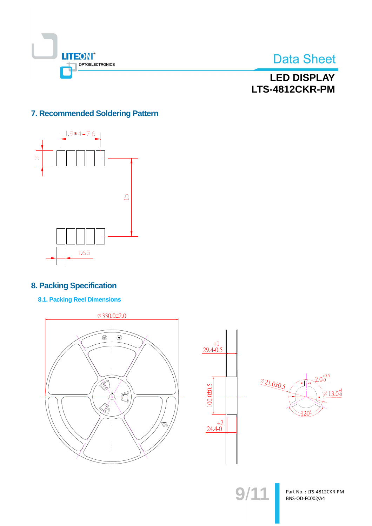



**LED DISPLAY** LTS-4812CKR-PM

### 7. Recommended Soldering Pattern



### **8. Packing Specification**

**8.1. Packing Reel Dimensions** 







 $9/11$ 

Part No.: LTS-4812CKR-PM BNS-OD-FC002/A4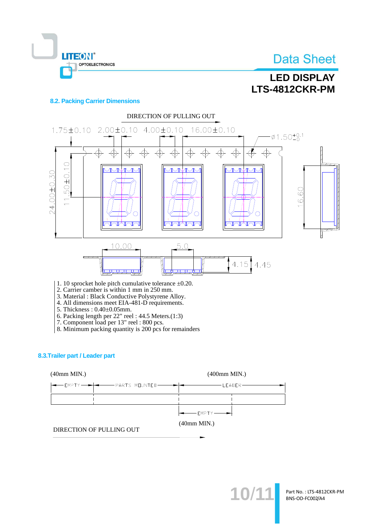



#### **8.2. Packing Carrier Dimensions**

OPTOELECTRONICS

**LITEON®** 



2. Carrier camber is within 1 mm in 250 mm.

3. Material: Black Conductive Polystyrene Alloy.

4. All dimensions meet EIA-481-D requirements.

- 5. Thickness: 0.40±0.05mm.
- 
- 
- 6. Packing length per 22" reel : 44.5 Meters.(1:3)<br>7. Component load per 13" reel : 800 pcs.<br>8. Minimum packing quantity is 200 pcs for remainders

#### 8.3. Trailer part / Leader part





10